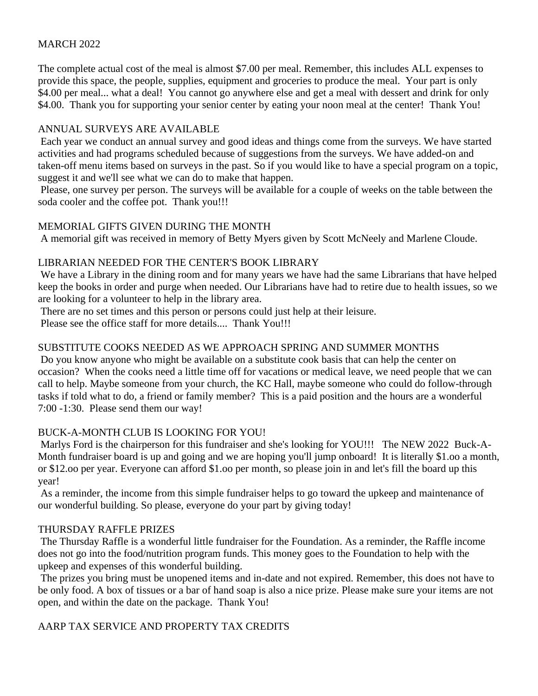## MARCH 2022

The complete actual cost of the meal is almost \$7.00 per meal. Remember, this includes ALL expenses to provide this space, the people, supplies, equipment and groceries to produce the meal. Your part is only \$4.00 per meal... what a deal! You cannot go anywhere else and get a meal with dessert and drink for only \$4.00. Thank you for supporting your senior center by eating your noon meal at the center! Thank You!

## ANNUAL SURVEYS ARE AVAILABLE

Each year we conduct an annual survey and good ideas and things come from the surveys. We have started activities and had programs scheduled because of suggestions from the surveys. We have added-on and taken-off menu items based on surveys in the past. So if you would like to have a special program on a topic, suggest it and we'll see what we can do to make that happen.

Please, one survey per person. The surveys will be available for a couple of weeks on the table between the soda cooler and the coffee pot. Thank you!!!

### MEMORIAL GIFTS GIVEN DURING THE MONTH

A memorial gift was received in memory of Betty Myers given by Scott McNeely and Marlene Cloude.

### LIBRARIAN NEEDED FOR THE CENTER'S BOOK LIBRARY

We have a Library in the dining room and for many years we have had the same Librarians that have helped keep the books in order and purge when needed. Our Librarians have had to retire due to health issues, so we are looking for a volunteer to help in the library area.

There are no set times and this person or persons could just help at their leisure.

Please see the office staff for more details.... Thank You!!!

## SUBSTITUTE COOKS NEEDED AS WE APPROACH SPRING AND SUMMER MONTHS

Do you know anyone who might be available on a substitute cook basis that can help the center on occasion? When the cooks need a little time off for vacations or medical leave, we need people that we can call to help. Maybe someone from your church, the KC Hall, maybe someone who could do follow-through tasks if told what to do, a friend or family member? This is a paid position and the hours are a wonderful 7:00 -1:30. Please send them our way!

### BUCK-A-MONTH CLUB IS LOOKING FOR YOU!

Marlys Ford is the chairperson for this fundraiser and she's looking for YOU!!! The NEW 2022 Buck-A-Month fundraiser board is up and going and we are hoping you'll jump onboard! It is literally \$1.oo a month, or \$12.oo per year. Everyone can afford \$1.oo per month, so please join in and let's fill the board up this year!

As a reminder, the income from this simple fundraiser helps to go toward the upkeep and maintenance of our wonderful building. So please, everyone do your part by giving today!

### THURSDAY RAFFLE PRIZES

The Thursday Raffle is a wonderful little fundraiser for the Foundation. As a reminder, the Raffle income does not go into the food/nutrition program funds. This money goes to the Foundation to help with the upkeep and expenses of this wonderful building.

The prizes you bring must be unopened items and in-date and not expired. Remember, this does not have to be only food. A box of tissues or a bar of hand soap is also a nice prize. Please make sure your items are not open, and within the date on the package. Thank You!

### AARP TAX SERVICE AND PROPERTY TAX CREDITS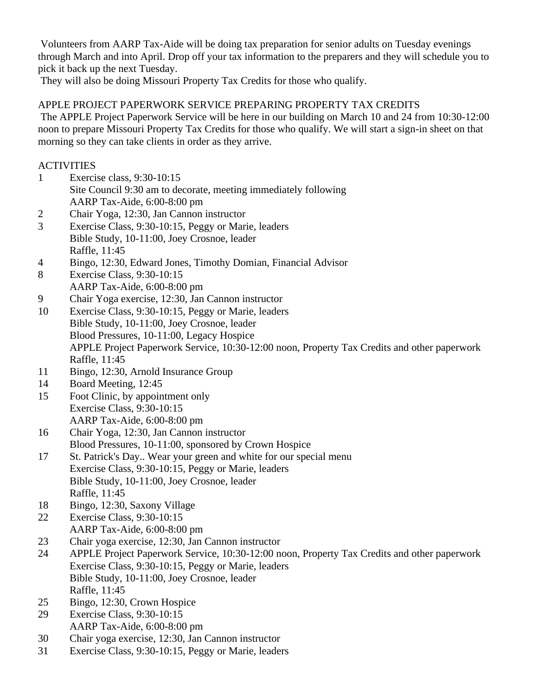Volunteers from AARP Tax-Aide will be doing tax preparation for senior adults on Tuesday evenings through March and into April. Drop off your tax information to the preparers and they will schedule you to pick it back up the next Tuesday.

They will also be doing Missouri Property Tax Credits for those who qualify.

# APPLE PROJECT PAPERWORK SERVICE PREPARING PROPERTY TAX CREDITS

The APPLE Project Paperwork Service will be here in our building on March 10 and 24 from 10:30-12:00 noon to prepare Missouri Property Tax Credits for those who qualify. We will start a sign-in sheet on that morning so they can take clients in order as they arrive.

## **ACTIVITIES**

- 1 Exercise class, 9:30-10:15 Site Council 9:30 am to decorate, meeting immediately following AARP Tax-Aide, 6:00-8:00 pm
- 2 Chair Yoga, 12:30, Jan Cannon instructor
- 3 Exercise Class, 9:30-10:15, Peggy or Marie, leaders Bible Study, 10-11:00, Joey Crosnoe, leader Raffle, 11:45
- 4 Bingo, 12:30, Edward Jones, Timothy Domian, Financial Advisor
- 8 Exercise Class, 9:30-10:15 AARP Tax-Aide, 6:00-8:00 pm
- 9 Chair Yoga exercise, 12:30, Jan Cannon instructor
- 10 Exercise Class, 9:30-10:15, Peggy or Marie, leaders Bible Study, 10-11:00, Joey Crosnoe, leader Blood Pressures, 10-11:00, Legacy Hospice APPLE Project Paperwork Service, 10:30-12:00 noon, Property Tax Credits and other paperwork Raffle, 11:45
- 11 Bingo, 12:30, Arnold Insurance Group
- 14 Board Meeting, 12:45
- 15 Foot Clinic, by appointment only Exercise Class, 9:30-10:15 AARP Tax-Aide, 6:00-8:00 pm
- 16 Chair Yoga, 12:30, Jan Cannon instructor Blood Pressures, 10-11:00, sponsored by Crown Hospice
- 17 St. Patrick's Day.. Wear your green and white for our special menu Exercise Class, 9:30-10:15, Peggy or Marie, leaders Bible Study, 10-11:00, Joey Crosnoe, leader Raffle, 11:45
- 18 Bingo, 12:30, Saxony Village
- 22 Exercise Class, 9:30-10:15 AARP Tax-Aide, 6:00-8:00 pm
- 23 Chair yoga exercise, 12:30, Jan Cannon instructor
- 24 APPLE Project Paperwork Service, 10:30-12:00 noon, Property Tax Credits and other paperwork Exercise Class, 9:30-10:15, Peggy or Marie, leaders Bible Study, 10-11:00, Joey Crosnoe, leader Raffle, 11:45
- 25 Bingo, 12:30, Crown Hospice
- 29 Exercise Class, 9:30-10:15 AARP Tax-Aide, 6:00-8:00 pm
- 30 Chair yoga exercise, 12:30, Jan Cannon instructor
- 31 Exercise Class, 9:30-10:15, Peggy or Marie, leaders